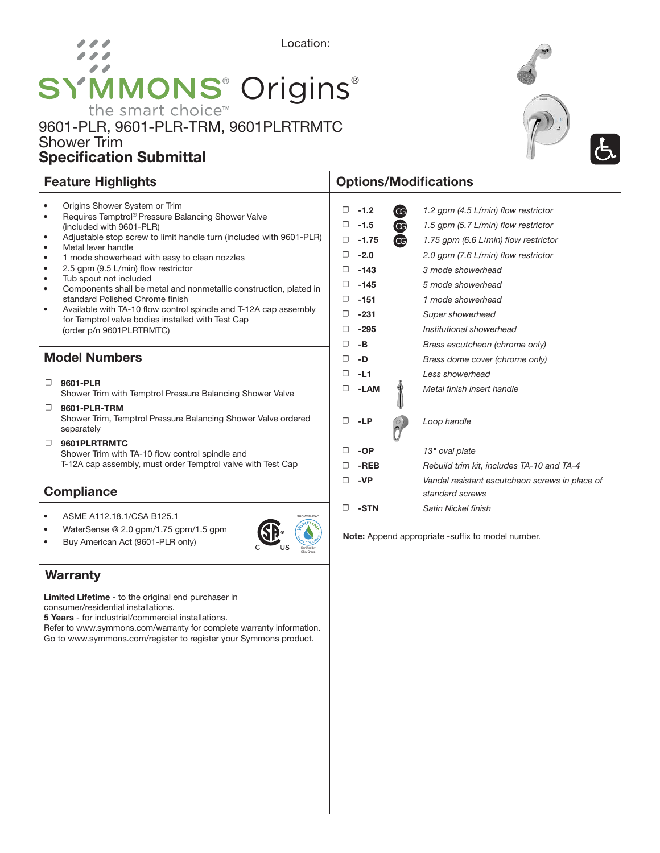# Location: 00 **SYMMONS® Origins®** the smart choice™

### 9601-PLR, 9601-PLR-TRM, 9601PLRTRMTC Shower Trim Specification Submittal





#### • Origins Shower System or Trim • Requires Temptrol® Pressure Balancing Shower Valve (included with 9601-PLR) • Adjustable stop screw to limit handle turn (included with 9601-PLR) Metal lever handle • 1 mode showerhead with easy to clean nozzles • 2.5 gpm (9.5 L/min) flow restrictor Tub spout not included • Components shall be metal and nonmetallic construction, plated in standard Polished Chrome finish • Available with TA-10 flow control spindle and T-12A cap assembly for Temptrol valve bodies installed with Test Cap (order p/n 9601PLRTRMTC) Model Numbers  $\Box$  9601-PLR Shower Trim with Temptrol Pressure Balancing Shower Valve ☐ 9601-PLR-TRM Shower Trim, Temptrol Pressure Balancing Shower Valve ordered separately ☐ 9601PLRTRMTC Shower Trim with TA-10 flow control spindle and T-12A cap assembly, must order Temptrol valve with Test Cap ☐ -1.2 *1.2 gpm (4.5 L/min) flow restrictor* ☐ -1.5 *1.5 gpm (5.7 L/min) flow restrictor* ☐ -1.75 *1.75 gpm (6.6 L/min) flow restrictor* ☐ -143 *3 mode showerhead* ☐ -145 *5 mode showerhead* ☐ -151 *1 mode showerhead* ☐ -231 *Super showerhead* ☐ -295 *Institutional showerhead* ☐ -B *Brass escutcheon (chrome only)*  ☐ -D *Brass dome cover (chrome only)* ☐ -L1 *Less showerhead* ☐ -LAM *Metal finish insert handle* ☐ -LP *Loop handle* ☐ -OP *13" oval plate standard screws*  ☐ -STN *Satin Nickel finish* **Compliance** CG CG **CG**

• ASME A112.18.1/CSA B125.1

• WaterSense @ 2.0 gpm/1.75 gpm/1.5 gpm Buy American Act (9601-PLR only)

### **Warranty**

Limited Lifetime - to the original end purchaser in consumer/residential installations.

5 Years - for industrial/commercial installations.

Refer to www.symmons.com/warranty for complete warranty information. Go to www.symmons.com/register to register your Symmons product.



## Feature Highlights **Contract Contract Contract Contract Contract Contract Contract Contract Contract Contract Contract Contract Contract Contract Contract Contract Contract Contract Contract Contract Contract Contract Cont**

|   |        | uu, | $1.70$ gpm (0.0 $\pm 0.00$ non roomotor                           |
|---|--------|-----|-------------------------------------------------------------------|
| 0 | $-2.0$ |     | 2.0 gpm (7.6 L/min) flow restrictor                               |
| 0 | $-143$ |     | 3 mode showerhead                                                 |
| □ | $-145$ |     | 5 mode showerhead                                                 |
| □ | $-151$ |     | 1 mode showerhead                                                 |
| □ | $-231$ |     | Super showerhead                                                  |
| □ | $-295$ |     | Institutional showerhead                                          |
| □ | -В     |     | Brass escutcheon (chrome only)                                    |
| □ | -D     |     | Brass dome cover (chrome only)                                    |
| 0 | $-L1$  |     | Less showerhead                                                   |
| 0 | -LAM   |     | Metal finish insert handle                                        |
| □ | -LP    |     | Loop handle                                                       |
| □ | -OP    |     | 13" oval plate                                                    |
| □ | -REB   |     | Rebuild trim kit, includes TA-10 and TA-4                         |
| □ | -VP    |     | Vandal resistant escutcheon screws in place of<br>standard screws |
| – |        |     |                                                                   |

Note: Append appropriate -suffix to model number.